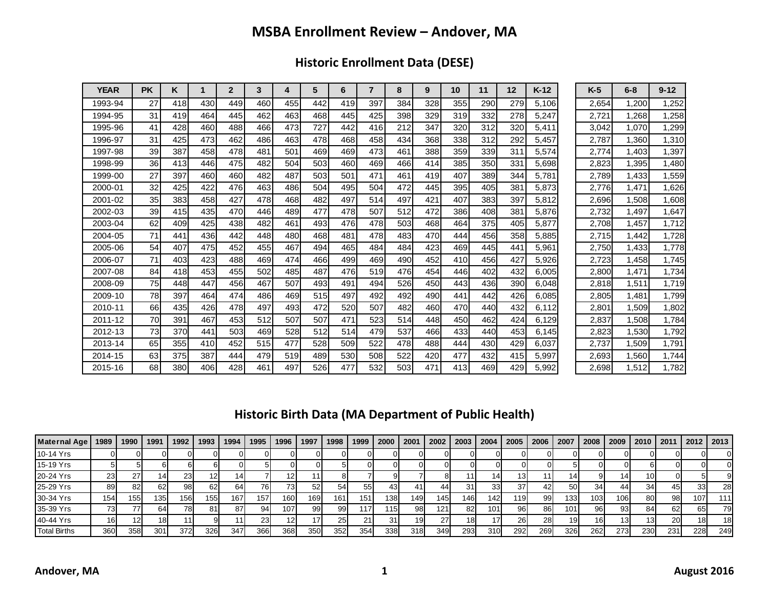## **MSBA Enrollment Review – Andover, MA**

**Historic Enrollment Data (DESE)**

| <b>YEAR</b> | <b>PK</b> | ĸ   | 1   | $\mathbf{2}$ | 3   | 4   | 5   | 6   | $\overline{7}$ | 8   | 9   | 10  | 11  | 12  | $K-12$ | $K-5$ | $6 - 8$ | $9 - 12$ |
|-------------|-----------|-----|-----|--------------|-----|-----|-----|-----|----------------|-----|-----|-----|-----|-----|--------|-------|---------|----------|
| 1993-94     | 27        | 418 | 430 | 449          | 460 | 455 | 442 | 419 | 397            | 384 | 328 | 355 | 290 | 279 | 5.106  | 2.654 | .200    | 1,252    |
| 1994-95     | 31        | 419 | 464 | 445          | 462 | 463 | 468 | 445 | 425            | 398 | 329 | 319 | 332 | 278 | 5,247  | 2,721 | .268    | 1,258    |
| 1995-96     | 41        | 428 | 460 | 488          | 466 | 473 | 727 | 442 | 416            | 212 | 347 | 320 | 312 | 320 | 5,411  | 3,042 | 1,070   | ,299     |
| 1996-97     | 31        | 425 | 473 | 462          | 486 | 463 | 478 | 468 | 458            | 434 | 368 | 338 | 312 | 292 | 5,457  | 2,787 | .360    | 1,310    |
| 1997-98     | 39        | 387 | 458 | 478          | 481 | 501 | 469 | 469 | 473            | 461 | 388 | 359 | 339 | 311 | 5,574  | 2,774 | 1.403   | 1,397    |
| 1998-99     | 36        | 413 | 446 | 475          | 482 | 504 | 503 | 460 | 469            | 466 | 414 | 385 | 350 | 331 | 5,698  | 2,823 | 1,395   | 1,480    |
| 1999-00     | 27        | 397 | 460 | 460          | 482 | 487 | 503 | 501 | 471            | 461 | 419 | 407 | 389 | 344 | 5,781  | 2,789 | 1,433   | 1,559    |
| 2000-01     | 32        | 425 | 422 | 476          | 463 | 486 | 504 | 495 | 504            | 472 | 445 | 395 | 405 | 381 | 5,873  | 2,776 | ,471    | 1,626    |
| 2001-02     | 35        | 383 | 458 | 427          | 478 | 468 | 482 | 497 | 514            | 497 | 421 | 407 | 383 | 397 | 5,812  | 2,696 | .508    | 1,608    |
| 2002-03     | 39        | 415 | 435 | 470          | 446 | 489 | 477 | 478 | 507            | 512 | 472 | 386 | 408 | 381 | 5,876  | 2,732 | ,497    | 1,647    |
| 2003-04     | 62        | 409 | 425 | 438          | 482 | 461 | 493 | 476 | 478            | 503 | 468 | 464 | 375 | 405 | 5,877  | 2,708 | .457    | 1,712    |
| 2004-05     | 71        | 441 | 436 | 442          | 448 | 480 | 468 | 481 | 478            | 483 | 470 | 444 | 456 | 358 | 5,885  | 2.715 | .442    | 1,728    |
| 2005-06     | 54        | 407 | 475 | 452          | 455 | 467 | 494 | 465 | 484            | 484 | 423 | 469 | 445 | 441 | 5,961  | 2,750 | .433    | 1,778    |
| 2006-07     | 71        | 403 | 423 | 488          | 469 | 474 | 466 | 499 | 469            | 490 | 452 | 410 | 456 | 427 | 5,926  | 2,723 | .458    | 1,745    |
| 2007-08     | 84        | 418 | 453 | 455          | 502 | 485 | 487 | 476 | 519            | 476 | 454 | 446 | 402 | 432 | 6.005  | 2.800 | 1.471   | 1,734    |
| 2008-09     | 75        | 448 | 447 | 456          | 467 | 507 | 493 | 491 | 494            | 526 | 450 | 443 | 436 | 390 | 6.048  | 2.818 | 1.511   | 1,719    |
| 2009-10     | 78        | 397 | 464 | 474          | 486 | 469 | 515 | 497 | 492            | 492 | 490 | 441 | 442 | 426 | 6,085  | 2,805 | 1,481   | 1,799    |
| 2010-11     | 66        | 435 | 426 | 478          | 497 | 493 | 472 | 520 | 507            | 482 | 460 | 470 | 440 | 432 | 6,112  | 2,801 | 1,509   | 1,802    |
| 2011-12     | 70        | 391 | 467 | 453          | 512 | 507 | 507 | 471 | 523            | 514 | 448 | 450 | 462 | 424 | 6,129  | 2,837 | 1,508   | 1,784    |
| 2012-13     | 73        | 370 | 441 | 503          | 469 | 528 | 512 | 514 | 479            | 537 | 466 | 433 | 440 | 453 | 6.145  | 2,823 | 1,530   | 1,792    |
| 2013-14     | 65        | 355 | 410 | 452          | 515 | 477 | 528 | 509 | 522            | 478 | 488 | 444 | 430 | 429 | 6,037  | 2,737 | 1,509   | 1,791    |
| 2014-15     | 63        | 375 | 387 | 444          | 479 | 519 | 489 | 530 | 508            | 522 | 420 | 477 | 432 | 415 | 5,997  | 2,693 | .560    | 1,744    |
| 2015-16     | 68        | 380 | 406 | 428          | 461 | 497 | 526 | 477 | 532            | 503 | 471 | 413 | 469 | 429 | 5,992  | 2.698 | 1,512   | 1,782    |

## **Historic Birth Data (MA Department of Public Health)**

| Maternal Age | 1989 | 1990 | 1991 | 1992 | 1993             | 1994 | 1995 | 1996 | 1997 | 1998             | 1999 | 2000 | 2001 | 2002 | 2003 | 2004 | 2005 | 2006 | 2007 | 2008 | 2009 | 2010 | 2011 | 2012 | 2013            |
|--------------|------|------|------|------|------------------|------|------|------|------|------------------|------|------|------|------|------|------|------|------|------|------|------|------|------|------|-----------------|
| 10-14 Yrs    |      |      |      |      |                  |      |      |      |      |                  |      |      |      |      |      |      |      |      |      |      |      |      |      |      |                 |
| 15-19 Yrs    |      |      |      |      |                  |      |      |      |      |                  |      |      |      |      |      |      |      |      |      |      |      |      |      |      |                 |
| 20-24 Yrs    | 23   |      |      | 23   |                  |      |      |      |      |                  |      |      |      |      |      |      |      |      |      |      |      | 10ì  |      |      |                 |
| 25-29 Yrs    | 89   |      | 62   | 98   |                  | 64   |      |      | 52   | 54               | 55I  | 431  |      | 441  |      | 33   | 37   | 421  | 501  | 34   | 44   | 34   | 45I  | 33   | <b>28</b>       |
| 30-34 Yrs    | 154  | 155  | 135  | 156. | 155 <sub>1</sub> | 167  | 157  | 160  | 169  | 161              | 151  | 138  | 149  | 1451 | 1461 | 1421 | 119  | 99   | 133  | 103  | 106  | 80I  | 981  | 107  | 111             |
| 35-39 Yrs    |      |      | 64   | 781  |                  | 87   | 94   | 107  | 99   | 99               | 117  | 115  | 981  | 121  | 82I  | 101  | 96   | 86I  | 101  | 96   | 93   | 84   | 62   | 65   | 79              |
| 40-44 Yrs    | 161  |      |      |      |                  |      | دے   |      |      | 25               |      | 31   | 19   | 27   | 18I  | 17   | 26I  | 28I  | 19   | 16I  | 131  | 131  | 20I  | 181  | 18 <sup>l</sup> |
| Total Births | 360  | 358  | 301  | 372  | 326              | 347  | 366  | 368  | 350  | 352 <sub>1</sub> | 354  | 338  | 318  | 349  | 293  | 310  | 292  | 269  | 326  | 262  | 273  | 230  | 231  | 228  | 249             |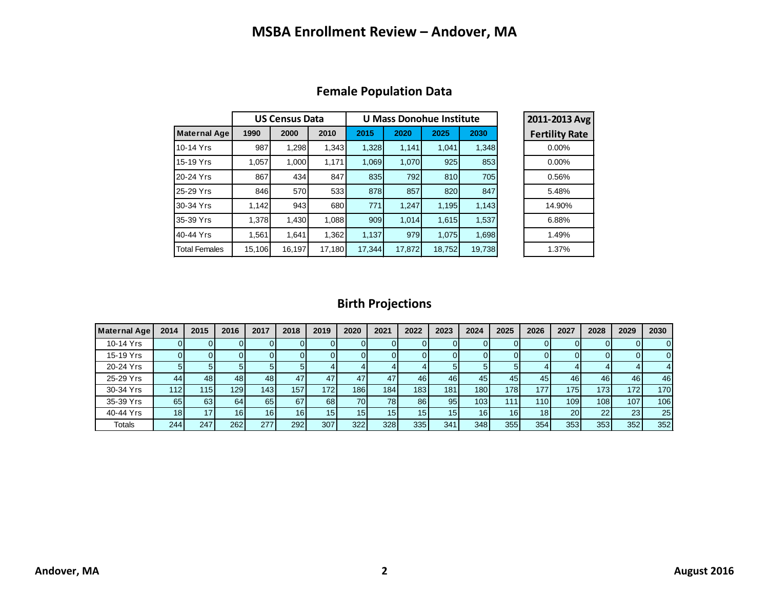## **MSBA Enrollment Review – Andover, MA**

|                      |        | <b>US Census Data</b> |        |        | U Mass Donohue Institute | 2011-2013 Avg |        |                       |
|----------------------|--------|-----------------------|--------|--------|--------------------------|---------------|--------|-----------------------|
| <b>Maternal Age</b>  | 1990   | 2000                  | 2010   | 2015   | 2020                     | 2025          | 2030   | <b>Fertility Rate</b> |
| 10-14 Yrs            | 987    | 1,298                 | 1,343  | 1,328  | 1,141                    | 1,041         | 1,348  | $0.00\%$              |
| 15-19 Yrs            | 1,057  | 1,000                 | 1,171  | 1,069  | 1,070                    | 925           | 853    | $0.00\%$              |
| 20-24 Yrs            | 867    | 434                   | 847    | 835    | 792                      | 810           | 705    | 0.56%                 |
| 25-29 Yrs            | 846    | 570                   | 533    | 878    | 857                      | 820           | 847    | 5.48%                 |
| 30-34 Yrs            | 1,142  | 943                   | 680    | 771    | 1,247                    | 1,195         | 1,143  | 14.90%                |
| 35-39 Yrs            | 1,378  | 1,430                 | 1,088  | 909    | 1.014                    | 1,615         | 1,537  | 6.88%                 |
| 40-44 Yrs            | 1.561  | 1.641                 | 1,362  | 1,137  | 979                      | 1,075         | 1,698  | 1.49%                 |
| <b>Total Females</b> | 15,106 | 16,197                | 17,180 | 17,344 | 17,872                   | 18,752        | 19,738 | 1.37%                 |

#### **Female Population Data**

### **Birth Projections**

| Maternal Age  | 2014            | 2015            | 2016            | 2017 | 2018 | 2019             | 2020 | 2021 | 2022            | 2023 | 2024            | 2025            | 2026 | 2027      | 2028             | 2029 | 2030 |
|---------------|-----------------|-----------------|-----------------|------|------|------------------|------|------|-----------------|------|-----------------|-----------------|------|-----------|------------------|------|------|
| 10-14 Yrs     |                 |                 |                 |      |      |                  |      |      | 0               |      |                 |                 |      | υı        |                  | 01   | 0    |
| 15-19 Yrs     |                 |                 |                 |      |      |                  |      |      | UI              |      |                 |                 |      |           |                  | 01   | 0    |
| 20-24 Yrs     |                 | 5.              |                 |      |      |                  |      |      |                 |      |                 |                 |      |           |                  |      |      |
| 25-29 Yrs     | 44              | 48              | 48              | 48   | 47   | 47               | 47   | 47   | 46              | 46   | 45              | 45              | 45   | 46        | 46               | 46   | 46   |
| 30-34 Yrs     | 112 l           | 115             | 129             | 1431 | 157  | 172 <sub>1</sub> | 1861 | 184  | 183             | 1811 | 1801            | 1781            | 177. | 175       | 1731             | 172  | 170  |
| 35-39 Yrs     | 65              | 63              | 64              | 65   | 67   | 68               | 70   | 78   | 86              | 95   | 103             | 111.            | 110  | 109       | 108 <sup>1</sup> | 107  | 106  |
| 40-44 Yrs     | 18 <sup>1</sup> | 17 <sub>1</sub> | 16 <sub>1</sub> | 16   | 16   | 15               | 15   | 15   | 15 <sup>1</sup> | 15   | 16 <sub>l</sub> | 16 <sub>1</sub> | 18   | <b>20</b> | 22               | 23   | 25   |
| <b>Totals</b> | 244             | 247             | 262             | 277  | 292  | 307              | 322  | 328  | 335             | 341  | 348             | 355             | 354  | 353       | 353              | 352  | 352  |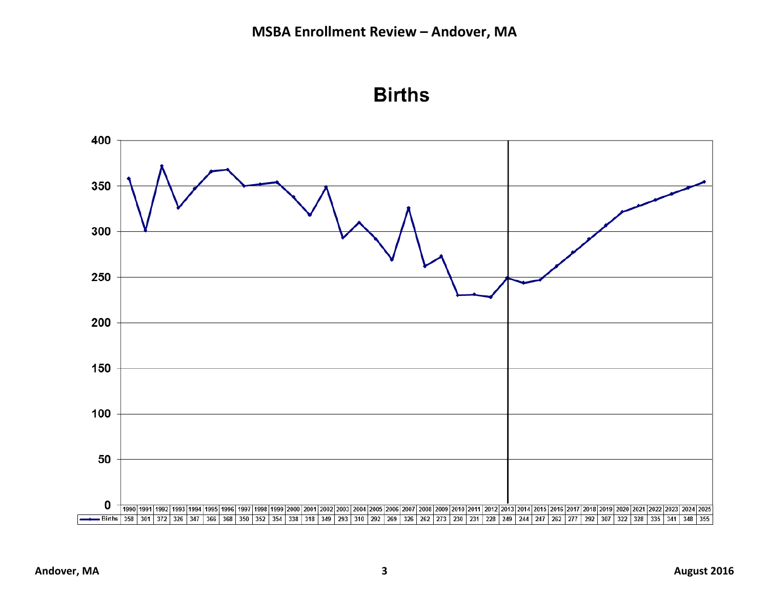

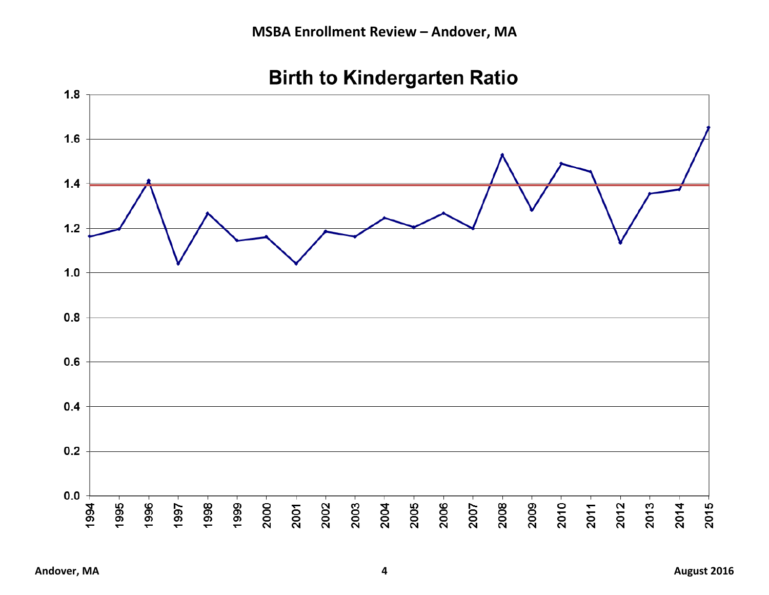

# **Birth to Kindergarten Ratio**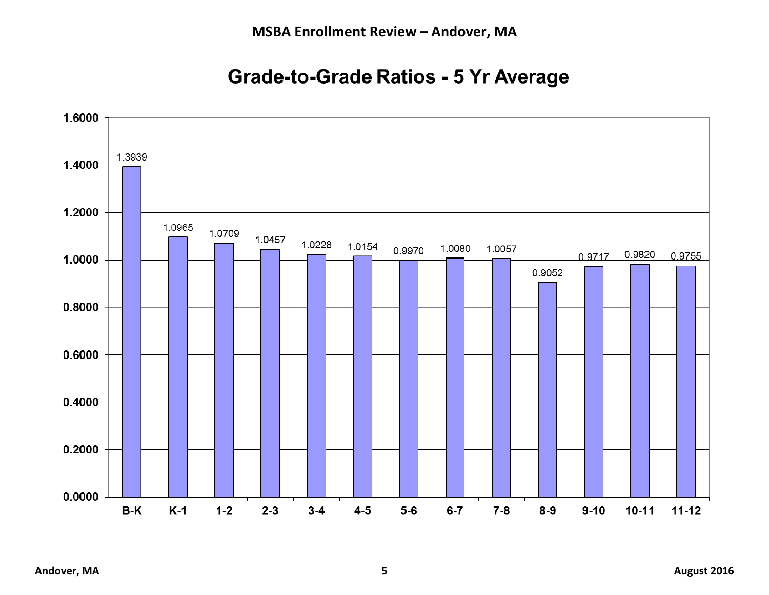## **Grade-to-Grade Ratios - 5 Yr Average**

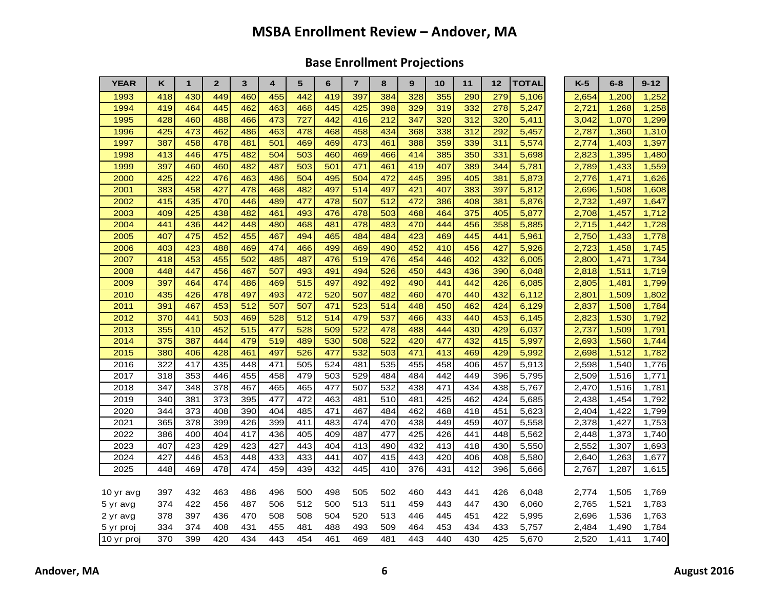## **MSBA Enrollment Review – Andover, MA**

## **Base Enrollment Projections**

| <b>YEAR</b> | K   | 1   | $\overline{2}$ | 3   | 4   | 5   | 6   | $\overline{7}$   | 8   | 9   | 10               | 11  | 12  | TOTAL | $K-5$ | $6 - 8$ | $9 - 12$ |
|-------------|-----|-----|----------------|-----|-----|-----|-----|------------------|-----|-----|------------------|-----|-----|-------|-------|---------|----------|
| 1993        | 418 | 430 | 449            | 460 | 455 | 442 | 419 | 397              | 384 | 328 | 355              | 290 | 279 | 5,106 | 2,654 | 1,200   | 1,252    |
| 1994        | 419 | 464 | 445            | 462 | 463 | 468 | 445 | 425              | 398 | 329 | 319              | 332 | 278 | 5,247 | 2,721 | 1,268   | 1,258    |
| 1995        | 428 | 460 | 488            | 466 | 473 | 727 | 442 | 416              | 212 | 347 | 320              | 312 | 320 | 5,411 | 3,042 | 1,070   | 1,299    |
| 1996        | 425 | 473 | 462            | 486 | 463 | 478 | 468 | 458              | 434 | 368 | 338              | 312 | 292 | 5,457 | 2,787 | 1,360   | 1,310    |
| 1997        | 387 | 458 | 478            | 481 | 501 | 469 | 469 | 473              | 461 | 388 | 359              | 339 | 311 | 5,574 | 2,774 | 1,403   | 1,397    |
| 1998        | 413 | 446 | 475            | 482 | 504 | 503 | 460 | 469              | 466 | 414 | 385              | 350 | 331 | 5,698 | 2,823 | 1,395   | 1,480    |
| 1999        | 397 | 460 | 460            | 482 | 487 | 503 | 501 | 471              | 461 | 419 | 407              | 389 | 344 | 5,781 | 2,789 | 1,433   | 1,559    |
| 2000        | 425 | 422 | 476            | 463 | 486 | 504 | 495 | 504              | 472 | 445 | 395              | 405 | 381 | 5,873 | 2,776 | 1,471   | 1,626    |
| 2001        | 383 | 458 | 427            | 478 | 468 | 482 | 497 | 514              | 497 | 421 | 407              | 383 | 397 | 5,812 | 2,696 | 1,508   | 1,608    |
| 2002        | 415 | 435 | 470            | 446 | 489 | 477 | 478 | 507              | 512 | 472 | 386              | 408 | 381 | 5,876 | 2,732 | 1,497   | 1,647    |
| 2003        | 409 | 425 | 438            | 482 | 461 | 493 | 476 | 478              | 503 | 468 | 464              | 375 | 405 | 5,877 | 2,708 | 1,457   | 1,712    |
| 2004        | 441 | 436 | 442            | 448 | 480 | 468 | 481 | 478              | 483 | 470 | 444              | 456 | 358 | 5,885 | 2,715 | 1,442   | 1,728    |
| 2005        | 407 | 475 | 452            | 455 | 467 | 494 | 465 | 484              | 484 | 423 | 469              | 445 | 441 | 5,961 | 2,750 | 1,433   | 1,778    |
| 2006        | 403 | 423 | 488            | 469 | 474 | 466 | 499 | 469              | 490 | 452 | 410              | 456 | 427 | 5,926 | 2,723 | 1,458   | 1,745    |
| 2007        | 418 | 453 | 455            | 502 | 485 | 487 | 476 | 519              | 476 | 454 | 446              | 402 | 432 | 6,005 | 2,800 | 1,471   | 1,734    |
| 2008        | 448 | 447 | 456            | 467 | 507 | 493 | 491 | 494              | 526 | 450 | 443              | 436 | 390 | 6,048 | 2,818 | 1,511   | 1,719    |
| 2009        | 397 | 464 | 474            | 486 | 469 | 515 | 497 | 492              | 492 | 490 | 441              | 442 | 426 | 6,085 | 2,805 | 1,481   | 1,799    |
| 2010        | 435 | 426 | 478            | 497 | 493 | 472 | 520 | 507              | 482 | 460 | 470              | 440 | 432 | 6,112 | 2,801 | 1,509   | 1,802    |
| 2011        | 391 | 467 | 453            | 512 | 507 | 507 | 471 | 523              | 514 | 448 | 450              | 462 | 424 | 6,129 | 2,837 | 1,508   | 1,784    |
| 2012        | 370 | 441 | 503            | 469 | 528 | 512 | 514 | 479              | 537 | 466 | 433              | 440 | 453 | 6,145 | 2,823 | 1,530   | 1,792    |
| 2013        | 355 | 410 | 452            | 515 | 477 | 528 | 509 | $\overline{522}$ | 478 | 488 | 444              | 430 | 429 | 6,037 | 2,737 | 1,509   | 1,791    |
| 2014        | 375 | 387 | 444            | 479 | 519 | 489 | 530 | 508              | 522 | 420 | 477              | 432 | 415 | 5,997 | 2,693 | 1,560   | 1,744    |
| 2015        | 380 | 406 | 428            | 461 | 497 | 526 | 477 | 532              | 503 | 471 | $\overline{413}$ | 469 | 429 | 5,992 | 2,698 | 1,512   | 1,782    |
| 2016        | 322 | 417 | 435            | 448 | 471 | 505 | 524 | 481              | 535 | 455 | 458              | 406 | 457 | 5,913 | 2,598 | 1,540   | 1,776    |
| 2017        | 318 | 353 | 446            | 455 | 458 | 479 | 503 | 529              | 484 | 484 | 442              | 449 | 396 | 5,795 | 2,509 | 1,516   | 1,771    |
| 2018        | 347 | 348 | 378            | 467 | 465 | 465 | 477 | 507              | 532 | 438 | 471              | 434 | 438 | 5,767 | 2,470 | 1,516   | 1,781    |
| 2019        | 340 | 381 | 373            | 395 | 477 | 472 | 463 | 481              | 510 | 481 | 425              | 462 | 424 | 5,685 | 2,438 | 1,454   | 1,792    |
| 2020        | 344 | 373 | 408            | 390 | 404 | 485 | 471 | 467              | 484 | 462 | 468              | 418 | 451 | 5,623 | 2,404 | 1,422   | 1,799    |
| 2021        | 365 | 378 | 399            | 426 | 399 | 411 | 483 | 474              | 470 | 438 | 449              | 459 | 407 | 5,558 | 2,378 | 1,427   | 1,753    |
| 2022        | 386 | 400 | 404            | 417 | 436 | 405 | 409 | 487              | 477 | 425 | 426              | 441 | 448 | 5,562 | 2,448 | 1,373   | 1,740    |
| 2023        | 407 | 423 | 429            | 423 | 427 | 443 | 404 | 413              | 490 | 432 | 413              | 418 | 430 | 5,550 | 2,552 | 1,307   | 1,693    |
| 2024        | 427 | 446 | 453            | 448 | 433 | 433 | 441 | 407              | 415 | 443 | 420              | 406 | 408 | 5,580 | 2,640 | 1,263   | 1,677    |
| 2025        | 448 | 469 | 478            | 474 | 459 | 439 | 432 | 445              | 410 | 376 | 431              | 412 | 396 | 5,666 | 2,767 | 1,287   | 1,615    |
|             |     |     |                |     |     |     |     |                  |     |     |                  |     |     |       |       |         |          |
| 10 yr avg   | 397 | 432 | 463            | 486 | 496 | 500 | 498 | 505              | 502 | 460 | 443              | 441 | 426 | 6,048 | 2,774 | 1,505   | 1,769    |
| 5 yr avg    | 374 | 422 | 456            | 487 | 506 | 512 | 500 | 513              | 511 | 459 | 443              | 447 | 430 | 6,060 | 2,765 | 1,521   | 1,783    |
| 2 yr avg    | 378 | 397 | 436            | 470 | 508 | 508 | 504 | 520              | 513 | 446 | 445              | 451 | 422 | 5,995 | 2,696 | 1,536   | 1,763    |
| 5 yr proj   | 334 | 374 | 408            | 431 | 455 | 481 | 488 | 493              | 509 | 464 | 453              | 434 | 433 | 5,757 | 2,484 | 1,490   | 1,784    |
| 10 yr proj  | 370 | 399 | 420            | 434 | 443 | 454 | 461 | 469              | 481 | 443 | 440              | 430 | 425 | 5,670 | 2,520 | 1,411   | 1,740    |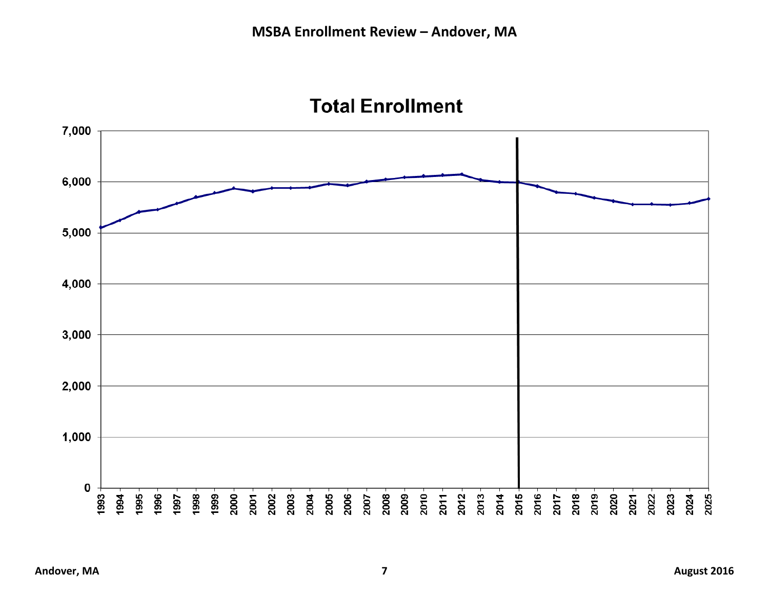